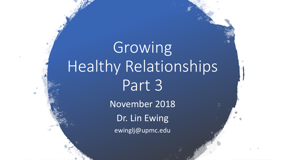# Growing Healthy Relationships Part 3

November 2018 Dr. Lin Ewing ewinglj@upmc.edu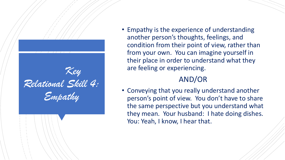

• Empathy is the experience of understanding another person's thoughts, feelings, and condition from their point of view, rather than from your own. You can imagine yourself in their place in order to understand what they are feeling or experiencing.

#### AND/OR

• Conveying that you really understand another person's point of view. You don't have to share the same perspective but you understand what they mean. Your husband: I hate doing dishes. You: Yeah, I know, I hear that.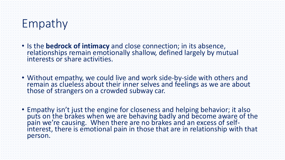#### Empathy

- Is the **bedrock of intimacy** and close connection; in its absence, relationships remain emotionally shallow, defined largely by mutual interests or share activities.
- Without empathy, we could live and work side-by-side with others and remain as clueless about their inner selves and feelings as we are about those of strangers on a crowded subway car.
- Empathy isn't just the engine for closeness and helping behavior; it also puts on the brakes when we are behaving badly and become aware of the pain we're causing. When there are no brakes and an excess of selfinterest, there is emotional pain in those that are in relationship with that person.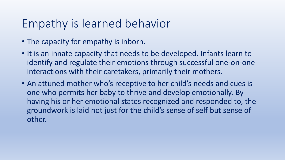#### Empathy is learned behavior

- The capacity for empathy is inborn.
- It is an innate capacity that needs to be developed. Infants learn to identify and regulate their emotions through successful one-on-one interactions with their caretakers, primarily their mothers.
- An attuned mother who's receptive to her child's needs and cues is one who permits her baby to thrive and develop emotionally. By having his or her emotional states recognized and responded to, the groundwork is laid not just for the child's sense of self but sense of other.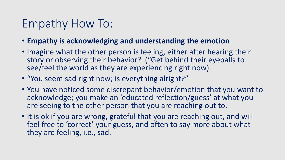#### Empathy How To:

- **Empathy is acknowledging and understanding the emotion**
- Imagine what the other person is feeling, either after hearing their story or observing their behavior? ("Get behind their eyeballs to see/feel the world as they are experiencing right now).
- "You seem sad right now; is everything alright?"
- You have noticed some discrepant behavior/emotion that you want to acknowledge; you make an 'educated reflection/guess' at what you are seeing to the other person that you are reaching out to.
- It is ok if you are wrong, grateful that you are reaching out, and will feel free to 'correct' your guess, and often to say more about what they are feeling, i.e., sad.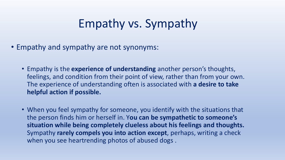## Empathy vs. Sympathy

- Empathy and sympathy are not synonyms:
	- Empathy is the **experience of understanding** another person's thoughts, feelings, and condition from their point of view, rather than from your own. The experience of understanding often is associated with **a desire to take helpful action if possible.**
	- When you feel sympathy for someone, you identify with the situations that the person finds him or herself in. Y**ou can be sympathetic to someone's situation while being completely clueless about his feelings and thoughts.**  Sympathy **rarely compels you into action except**, perhaps, writing a check when you see heartrending photos of abused dogs .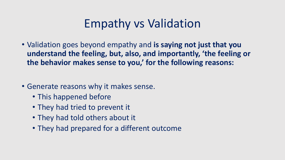## Empathy vs Validation

- Validation goes beyond empathy and **is saying not just that you understand the feeling, but, also, and importantly, 'the feeling or the behavior makes sense to you,' for the following reasons:**
- Generate reasons why it makes sense.
	- This happened before
	- They had tried to prevent it
	- They had told others about it
	- They had prepared for a different outcome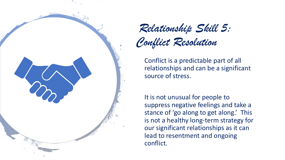

*Relationship Skill 5:* 

*Conflict Resolution*

Conflict is a predictable part of all relationships and can be a significant source of stress.

It is not unusual for people to suppress negative feelings and take a stance of 'go along to get along.' This is not a healthy long-term strategy for our significant relationships as it can lead to resentment and ongoing conflict.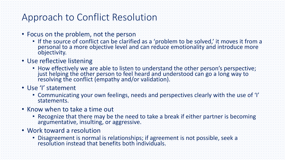#### Approach to Conflict Resolution

- Focus on the problem, not the person
	- If the source of conflict can be clarified as a 'problem to be solved,' it moves it from a personal to a more objective level and can reduce emotionality and introduce more objectivity.
- Use reflective listening
	- How effectively we are able to listen to understand the other person's perspective; just helping the other person to feel heard and understood can go a long way to resolving the conflict (empathy and/or validation).
- Use 'I' statement
	- Communicating your own feelings, needs and perspectives clearly with the use of 'I' statements.
- Know when to take a time out
	- Recognize that there may be the need to take a break if either partner is becoming argumentative, insulting, or aggressive.
- Work toward a resolution
	- Disagreement is normal is relationships; if agreement is not possible, seek a resolution instead that benefits both individuals.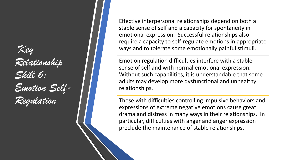### *Key Relationship Skill 6: Emotion Self-Regulation*

Effective interpersonal relationships depend on both a stable sense of self and a capacity for spontaneity in emotional expression. Successful relationships also require a capacity to self-regulate emotions in appropriate ways and to tolerate some emotionally painful stimuli.

Emotion regulation difficulties interfere with a stable sense of self and with normal emotional expression. Without such capabilities, it is understandable that some adults may develop more dysfunctional and unhealthy relationships.

Those with difficulties controlling impulsive behaviors and expressions of extreme negative emotions cause great drama and distress in many ways in their relationships. In particular, difficulties with anger and anger expression preclude the maintenance of stable relationships.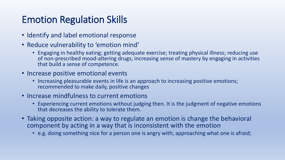#### Emotion Regulation Skills

- Identify and label emotional response
- Reduce vulnerability to 'emotion mind'
	- Engaging in healthy eating; getting adequate exercise; treating physical illness; reducing use of non-prescribed mood-altering drugs; increasing sense of mastery by engaging in activities that build a sense of competence.
- Increase positive emotional events
	- Increasing pleasurable events in life is an approach to increasing positive emotions; recommended to make daily, positive changes
- Increase mindfulness to current emotions
	- Experiencing current emotions without judging then. It is the judgment of negative emotions that decreases the ability to tolerate them.
- Taking opposite action: a way to regulate an emotion is change the behavioral component by acting in a way that is inconsistent with the emotion
	- e.g. doing something nice for a person one is angry with; approaching what one is afraid;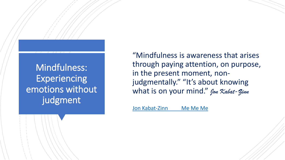Mindfulness: Experiencing emotions without judgment

"Mindfulness is awareness that arises through paying attention, on purpose, in the present moment, nonjudgmentally." "It's about knowing what is on your mind." *Jon Kabat-Zinn*

[Jon Kabat-Zinn Me Me Me](https://youtu.be/ULJSacYFzzQ)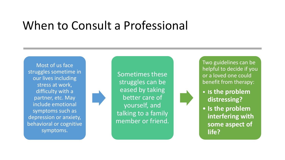#### When to Consult a Professional

Most of us face struggles sometime in our lives including stress at work, difficulty with a partner, etc. May include emotional symptoms such as depression or anxiety, behavioral or cognitive symptoms.



Sometimes these struggles can be eased by taking better care of yourself, and talking to a family member or friend. Two guidelines can be helpful to decide if you or a loved one could benefit from therapy:

- **Is the problem distressing?**
- **Is the problem interfering with some aspect of life?**